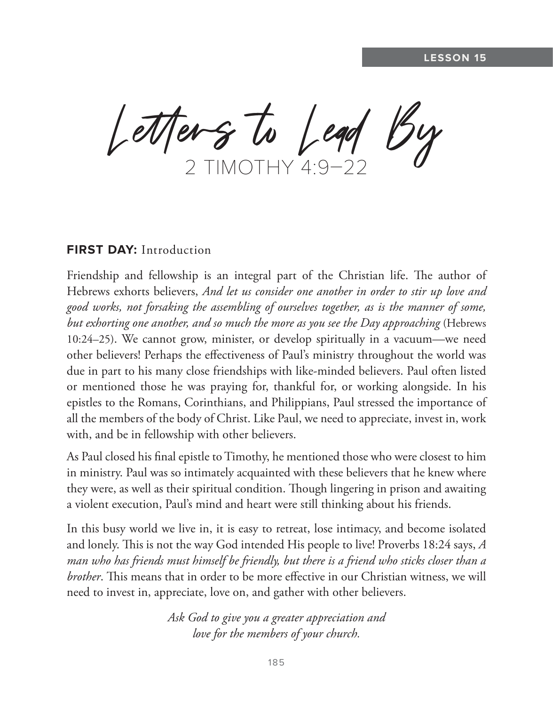Letters to Lead By

## **FIRST DAY:** Introduction

Friendship and fellowship is an integral part of the Christian life. The author of Hebrews exhorts believers, *And let us consider one another in order to stir up love and good works, not forsaking the assembling of ourselves together, as is the manner of some, but exhorting one another, and so much the more as you see the Day approaching* (Hebrews 10:24–25). We cannot grow, minister, or develop spiritually in a vacuum—we need other believers! Perhaps the effectiveness of Paul's ministry throughout the world was due in part to his many close friendships with like-minded believers. Paul often listed or mentioned those he was praying for, thankful for, or working alongside. In his epistles to the Romans, Corinthians, and Philippians, Paul stressed the importance of all the members of the body of Christ. Like Paul, we need to appreciate, invest in, work with, and be in fellowship with other believers.

As Paul closed his final epistle to Timothy, he mentioned those who were closest to him in ministry. Paul was so intimately acquainted with these believers that he knew where they were, as well as their spiritual condition. Though lingering in prison and awaiting a violent execution, Paul's mind and heart were still thinking about his friends.

In this busy world we live in, it is easy to retreat, lose intimacy, and become isolated and lonely. This is not the way God intended His people to live! Proverbs 18:24 says, *A man who has friends must himself be friendly, but there is a friend who sticks closer than a brother*. This means that in order to be more effective in our Christian witness, we will need to invest in, appreciate, love on, and gather with other believers.

> *Ask God to give you a greater appreciation and love for the members of your church.*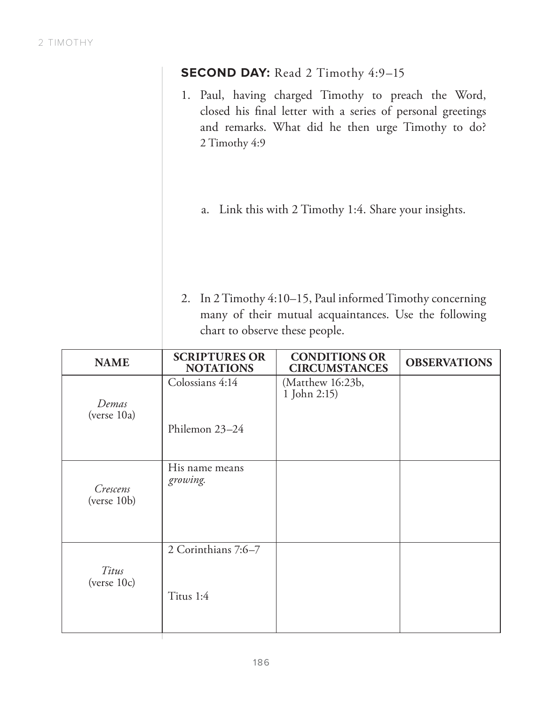|                         | <b>SECOND DAY:</b> Read 2 Timothy 4:9-15                                                                                                                                                                                                                                                                                                                                                                     |                                              |                     |  |  |
|-------------------------|--------------------------------------------------------------------------------------------------------------------------------------------------------------------------------------------------------------------------------------------------------------------------------------------------------------------------------------------------------------------------------------------------------------|----------------------------------------------|---------------------|--|--|
|                         | 1. Paul, having charged Timothy to preach the Word,<br>closed his final letter with a series of personal greetings<br>and remarks. What did he then urge Timothy to do?<br>2 Timothy 4:9<br>Link this with 2 Timothy 1:4. Share your insights.<br>a.<br>2. In 2 Timothy 4:10–15, Paul informed Timothy concerning<br>many of their mutual acquaintances. Use the following<br>chart to observe these people. |                                              |                     |  |  |
|                         |                                                                                                                                                                                                                                                                                                                                                                                                              |                                              |                     |  |  |
|                         |                                                                                                                                                                                                                                                                                                                                                                                                              |                                              |                     |  |  |
|                         |                                                                                                                                                                                                                                                                                                                                                                                                              |                                              |                     |  |  |
| <b>NAME</b>             | <b>SCRIPTURES OR</b><br><b>NOTATIONS</b>                                                                                                                                                                                                                                                                                                                                                                     | <b>CONDITIONS OR</b><br><b>CIRCUMSTANCES</b> | <b>OBSERVATIONS</b> |  |  |
| Demas<br>(verse 10a)    | Colossians 4:14<br>Philemon 23-24                                                                                                                                                                                                                                                                                                                                                                            | (Matthew 16:23b,<br>1 John 2:15)             |                     |  |  |
| Crescens<br>(verse 10b) | His name means<br>growing.                                                                                                                                                                                                                                                                                                                                                                                   |                                              |                     |  |  |
| Titus                   | 2 Corinthians 7:6-7                                                                                                                                                                                                                                                                                                                                                                                          |                                              |                     |  |  |

Т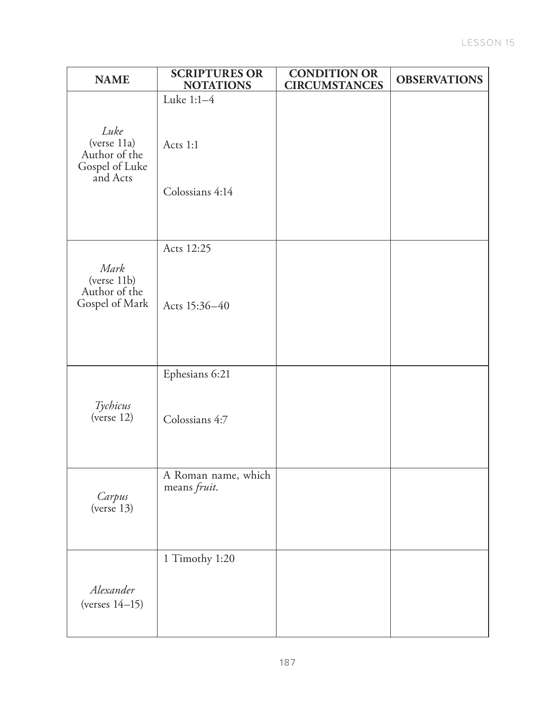| <b>NAME</b>                                                        | <b>SCRIPTURES OR</b><br><b>NOTATIONS</b>  | <b>CONDITION OR</b><br><b>CIRCUMSTANCES</b> | <b>OBSERVATIONS</b> |
|--------------------------------------------------------------------|-------------------------------------------|---------------------------------------------|---------------------|
| Luke<br>(verse 11a)<br>Author of the<br>Gospel of Luke<br>and Acts | Luke 1:1-4<br>Acts 1:1<br>Colossians 4:14 |                                             |                     |
| Mark<br>(verse 11b)<br>Author of the<br>Gospel of Mark             | Acts 12:25<br>Acts 15:36-40               |                                             |                     |
| Tychicus<br>(verse 12)                                             | Ephesians 6:21<br>Colossians 4:7          |                                             |                     |
| Carpus<br>(verse 13)                                               | A Roman name, which<br>means fruit.       |                                             |                     |
| Alexander<br>(verses $14-15$ )                                     | 1 Timothy 1:20                            |                                             |                     |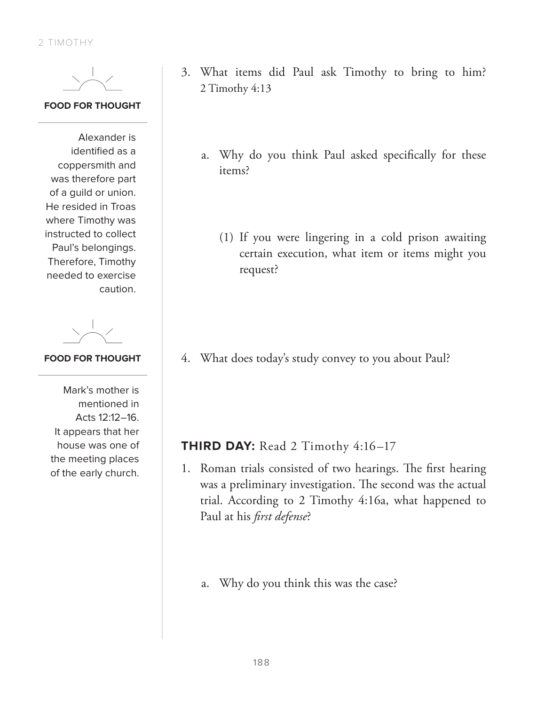#### **FOOD FOR THOUGHT**

Alexander is identified as a coppersmith and was therefore part of a guild or union. He resided in Troas where Timothy was instructed to collect Paul's belongings. Therefore, Timothy needed to exercise caution.

### **FOOD FOR THOUGHT**

Mark's mother is mentioned in Acts 12:12–16. It appears that her house was one of the meeting places of the early church.

- 3. What items did Paul ask Timothy to bring to him? 2 Timothy 4:13
	- a. Why do you think Paul asked specifically for these items?
		- (1) If you were lingering in a cold prison awaiting certain execution, what item or items might you request?

4. What does today's study convey to you about Paul?

# **THIRD DAY:** Read 2 Timothy 4:16-17

- 1. Roman trials consisted of two hearings. The first hearing was a preliminary investigation. The second was the actual trial. According to 2 Timothy 4:16a, what happened to Paul at his *first defense*?
	- a. Why do you think this was the case?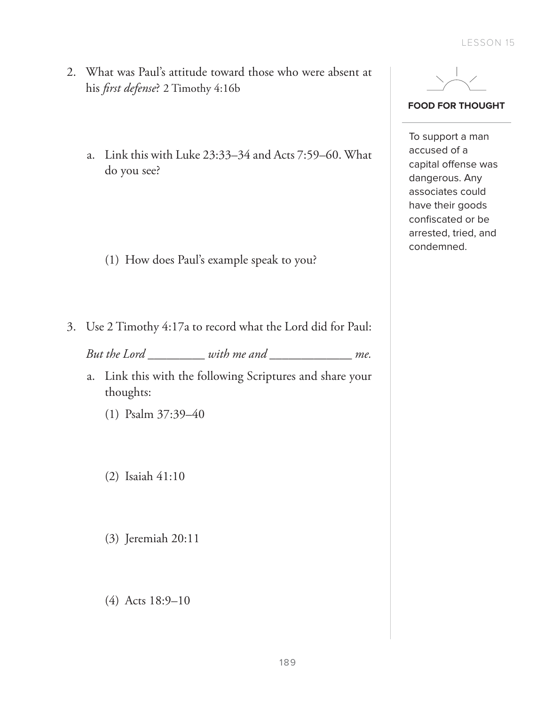- 2. What was Paul's attitude toward those who were absent at his *first defense*? 2 Timothy 4:16b
	- a. Link this with Luke 23:33–34 and Acts 7:59–60. What do you see?

- (1) How does Paul's example speak to you?
- 3. Use 2 Timothy 4:17a to record what the Lord did for Paul:

*But the Lord \_\_\_\_\_\_\_\_\_ with me and \_\_\_\_\_\_\_\_\_\_\_\_\_ me.*

- a. Link this with the following Scriptures and share your thoughts:
	- (1) Psalm 37:39–40
	- (2) Isaiah 41:10
	- (3) Jeremiah 20:11
	- (4) Acts 18:9–10



#### **FOOD FOR THOUGHT**

To support a man accused of a capital offense was dangerous. Any associates could have their goods confiscated or be arrested, tried, and condemned.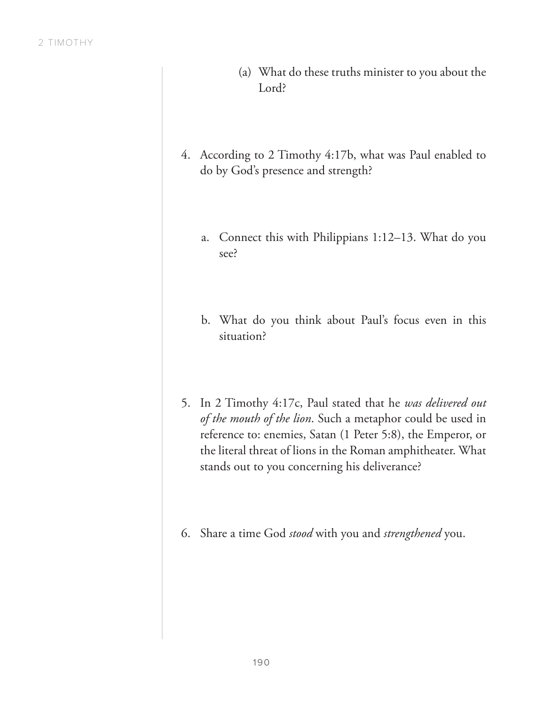- (a) What do these truths minister to you about the Lord?
- 4. According to 2 Timothy 4:17b, what was Paul enabled to do by God's presence and strength?
	- a. Connect this with Philippians 1:12–13. What do you see?
	- b. What do you think about Paul's focus even in this situation?
- 5. In 2 Timothy 4:17c, Paul stated that he *was delivered out of the mouth of the lion*. Such a metaphor could be used in reference to: enemies, Satan (1 Peter 5:8), the Emperor, or the literal threat of lions in the Roman amphitheater. What stands out to you concerning his deliverance?
- 6. Share a time God *stood* with you and *strengthened* you.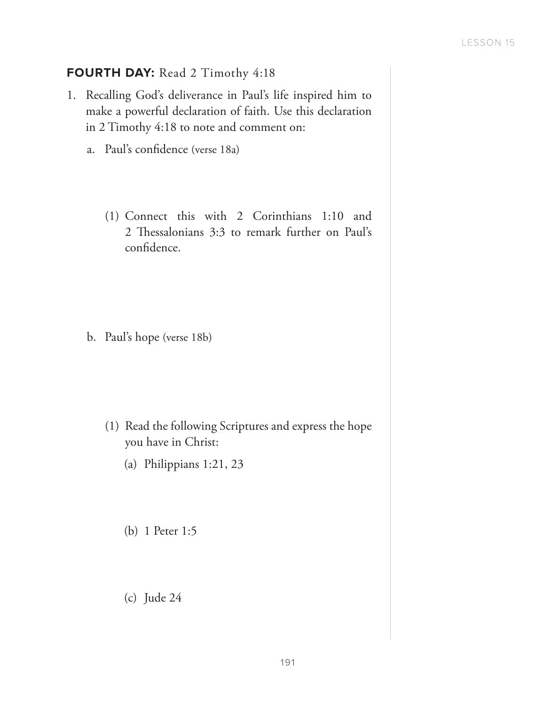## **FOURTH DAY:** Read 2 Timothy 4:18

- 1. Recalling God's deliverance in Paul's life inspired him to make a powerful declaration of faith. Use this declaration in 2 Timothy 4:18 to note and comment on:
	- a. Paul's confidence (verse 18a)
		- (1) Connect this with 2 Corinthians 1:10 and 2 Thessalonians 3:3 to remark further on Paul's confidence.

b. Paul's hope (verse 18b)

- (1) Read the following Scriptures and express the hope you have in Christ:
	- (a) Philippians 1:21, 23
	- (b) 1 Peter 1:5
	- (c) Jude 24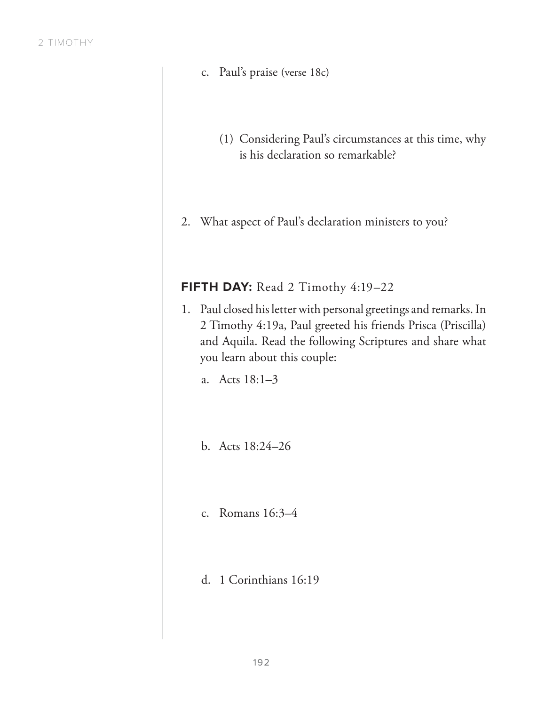- c. Paul's praise (verse 18c)
	- (1) Considering Paul's circumstances at this time, why is his declaration so remarkable?
- 2. What aspect of Paul's declaration ministers to you?

## FIFTH DAY: Read 2 Timothy 4:19-22

- 1. Paul closed his letter with personal greetings and remarks. In 2 Timothy 4:19a, Paul greeted his friends Prisca (Priscilla) and Aquila. Read the following Scriptures and share what you learn about this couple:
	- a. Acts 18:1–3
	- b. Acts 18:24–26
	- c. Romans 16:3–4
	- d. 1 Corinthians 16:19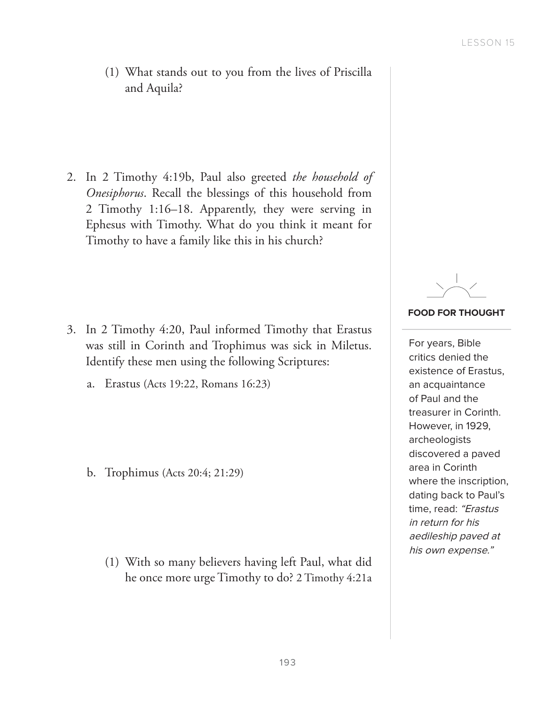(1) What stands out to you from the lives of Priscilla and Aquila?

2. In 2 Timothy 4:19b, Paul also greeted *the household of Onesiphorus*. Recall the blessings of this household from 2 Timothy 1:16–18. Apparently, they were serving in Ephesus with Timothy. What do you think it meant for Timothy to have a family like this in his church?

- 3. In 2 Timothy 4:20, Paul informed Timothy that Erastus was still in Corinth and Trophimus was sick in Miletus. Identify these men using the following Scriptures:
	- a. Erastus (Acts 19:22, Romans 16:23)

b. Trophimus (Acts 20:4; 21:29)

(1) With so many believers having left Paul, what did he once more urge Timothy to do? 2 Timothy 4:21a



#### **FOOD FOR THOUGHT**

For years, Bible critics denied the existence of Erastus, an acquaintance of Paul and the treasurer in Corinth. However, in 1929, archeologists discovered a paved area in Corinth where the inscription, dating back to Paul's time, read: "Erastus in return for his aedileship paved at his own expense."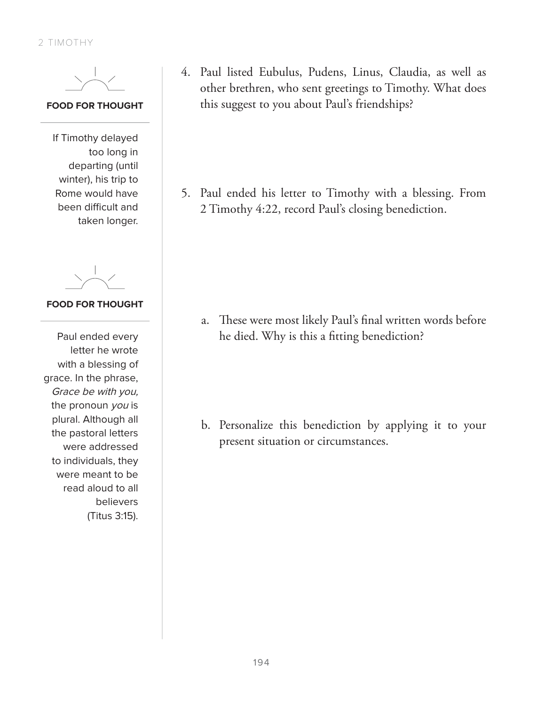#### **FOOD FOR THOUGHT**

If Timothy delayed too long in departing (until winter), his trip to Rome would have been difficult and taken longer.

**FOOD FOR THOUGHT**

Paul ended every letter he wrote with a blessing of grace. In the phrase, Grace be with you, the pronoun you is plural. Although all the pastoral letters were addressed to individuals, they were meant to be read aloud to all believers (Titus 3:15). 4. Paul listed Eubulus, Pudens, Linus, Claudia, as well as other brethren, who sent greetings to Timothy. What does this suggest to you about Paul's friendships?

5. Paul ended his letter to Timothy with a blessing. From 2 Timothy 4:22, record Paul's closing benediction.

a. These were most likely Paul's final written words before he died. Why is this a fitting benediction?

b. Personalize this benediction by applying it to your present situation or circumstances.